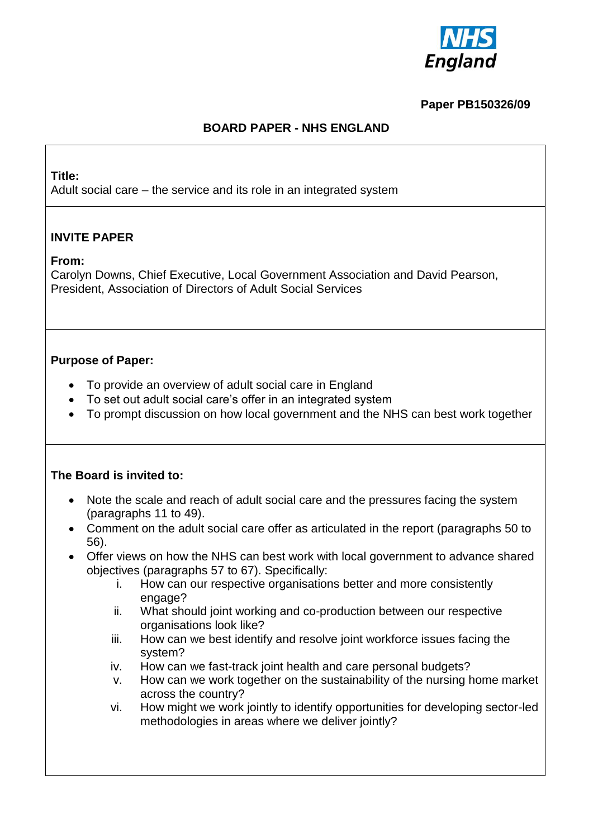

## **Paper PB150326/09**

## **BOARD PAPER - NHS ENGLAND**

#### **Title:**

Adult social care – the service and its role in an integrated system

## **INVITE PAPER**

#### **From:**

Carolyn Downs, Chief Executive, Local Government Association and David Pearson, President, Association of Directors of Adult Social Services

#### **Purpose of Paper:**

- To provide an overview of adult social care in England
- To set out adult social care's offer in an integrated system
- To prompt discussion on how local government and the NHS can best work together

#### **The Board is invited to:**

- Note the scale and reach of adult social care and the pressures facing the system (paragraphs 11 to 49).
- Comment on the adult social care offer as articulated in the report (paragraphs 50 to 56).
- Offer views on how the NHS can best work with local government to advance shared objectives (paragraphs 57 to 67). Specifically:
	- i. How can our respective organisations better and more consistently engage?
	- ii. What should joint working and co-production between our respective organisations look like?
	- iii. How can we best identify and resolve joint workforce issues facing the system?
	- iv. How can we fast-track joint health and care personal budgets?
	- v. How can we work together on the sustainability of the nursing home market across the country?
	- vi. How might we work jointly to identify opportunities for developing sector-led methodologies in areas where we deliver jointly?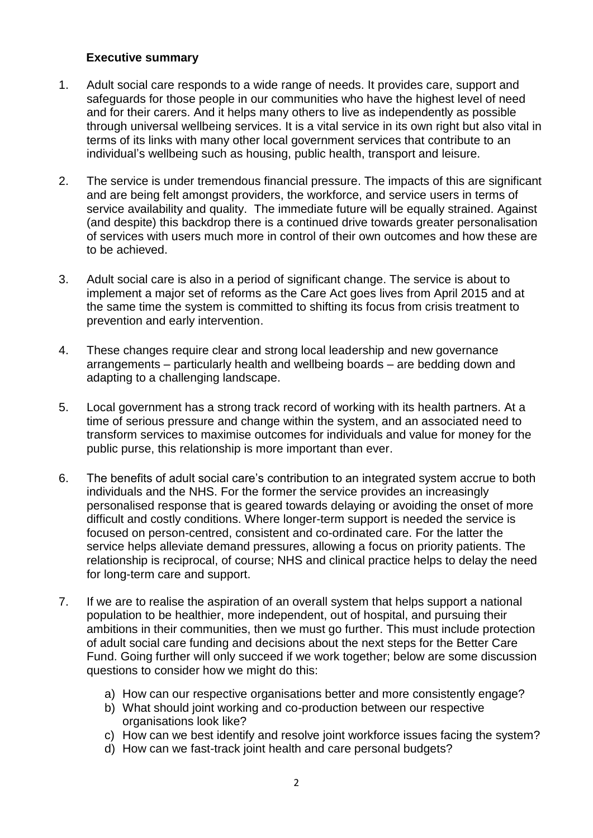#### **Executive summary**

- 1. Adult social care responds to a wide range of needs. It provides care, support and safeguards for those people in our communities who have the highest level of need and for their carers. And it helps many others to live as independently as possible through universal wellbeing services. It is a vital service in its own right but also vital in terms of its links with many other local government services that contribute to an individual's wellbeing such as housing, public health, transport and leisure.
- 2. The service is under tremendous financial pressure. The impacts of this are significant and are being felt amongst providers, the workforce, and service users in terms of service availability and quality. The immediate future will be equally strained. Against (and despite) this backdrop there is a continued drive towards greater personalisation of services with users much more in control of their own outcomes and how these are to be achieved.
- 3. Adult social care is also in a period of significant change. The service is about to implement a major set of reforms as the Care Act goes lives from April 2015 and at the same time the system is committed to shifting its focus from crisis treatment to prevention and early intervention.
- 4. These changes require clear and strong local leadership and new governance arrangements – particularly health and wellbeing boards – are bedding down and adapting to a challenging landscape.
- 5. Local government has a strong track record of working with its health partners. At a time of serious pressure and change within the system, and an associated need to transform services to maximise outcomes for individuals and value for money for the public purse, this relationship is more important than ever.
- 6. The benefits of adult social care's contribution to an integrated system accrue to both individuals and the NHS. For the former the service provides an increasingly personalised response that is geared towards delaying or avoiding the onset of more difficult and costly conditions. Where longer-term support is needed the service is focused on person-centred, consistent and co-ordinated care. For the latter the service helps alleviate demand pressures, allowing a focus on priority patients. The relationship is reciprocal, of course; NHS and clinical practice helps to delay the need for long-term care and support.
- 7. If we are to realise the aspiration of an overall system that helps support a national population to be healthier, more independent, out of hospital, and pursuing their ambitions in their communities, then we must go further. This must include protection of adult social care funding and decisions about the next steps for the Better Care Fund. Going further will only succeed if we work together; below are some discussion questions to consider how we might do this:
	- a) How can our respective organisations better and more consistently engage?
	- b) What should joint working and co-production between our respective organisations look like?
	- c) How can we best identify and resolve joint workforce issues facing the system?
	- d) How can we fast-track joint health and care personal budgets?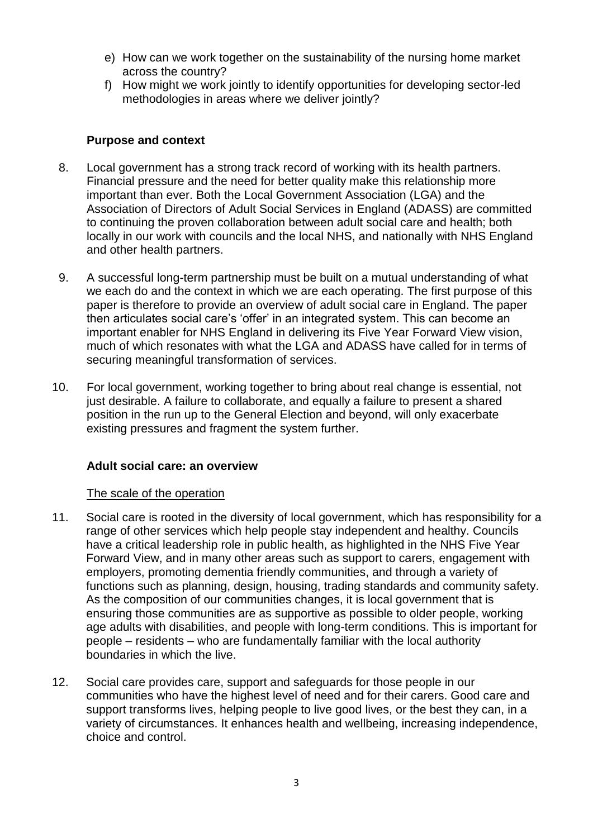- e) How can we work together on the sustainability of the nursing home market across the country?
- f) How might we work jointly to identify opportunities for developing sector-led methodologies in areas where we deliver jointly?

### **Purpose and context**

- 8. Local government has a strong track record of working with its health partners. Financial pressure and the need for better quality make this relationship more important than ever. Both the Local Government Association (LGA) and the Association of Directors of Adult Social Services in England (ADASS) are committed to continuing the proven collaboration between adult social care and health; both locally in our work with councils and the local NHS, and nationally with NHS England and other health partners.
- 9. A successful long-term partnership must be built on a mutual understanding of what we each do and the context in which we are each operating. The first purpose of this paper is therefore to provide an overview of adult social care in England. The paper then articulates social care's 'offer' in an integrated system. This can become an important enabler for NHS England in delivering its Five Year Forward View vision, much of which resonates with what the LGA and ADASS have called for in terms of securing meaningful transformation of services.
- 10. For local government, working together to bring about real change is essential, not just desirable. A failure to collaborate, and equally a failure to present a shared position in the run up to the General Election and beyond, will only exacerbate existing pressures and fragment the system further.

# **Adult social care: an overview**

#### The scale of the operation

- 11. Social care is rooted in the diversity of local government, which has responsibility for a range of other services which help people stay independent and healthy. Councils have a critical leadership role in public health, as highlighted in the NHS Five Year Forward View, and in many other areas such as support to carers, engagement with employers, promoting dementia friendly communities, and through a variety of functions such as planning, design, housing, trading standards and community safety. As the composition of our communities changes, it is local government that is ensuring those communities are as supportive as possible to older people, working age adults with disabilities, and people with long-term conditions. This is important for people – residents – who are fundamentally familiar with the local authority boundaries in which the live.
- 12. Social care provides care, support and safeguards for those people in our communities who have the highest level of need and for their carers. Good care and support transforms lives, helping people to live good lives, or the best they can, in a variety of circumstances. It enhances health and wellbeing, increasing independence, choice and control.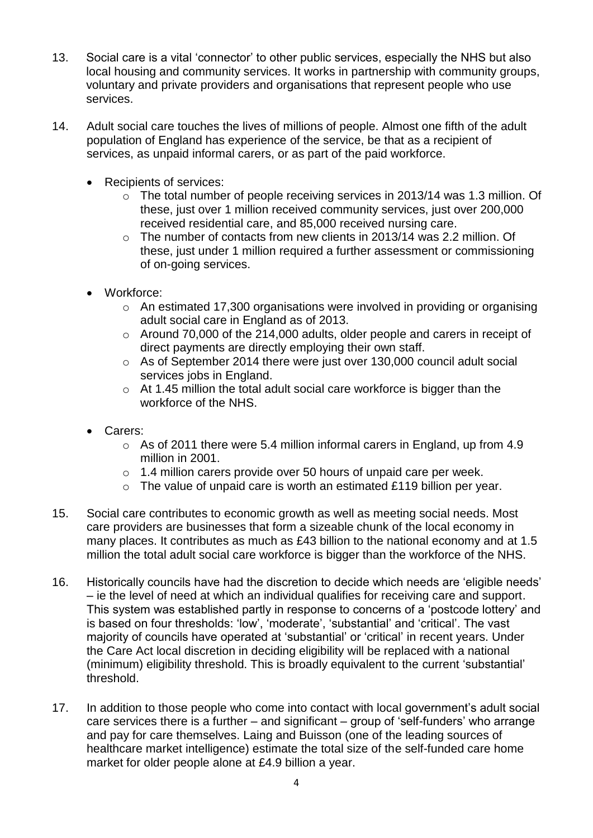- 13. Social care is a vital 'connector' to other public services, especially the NHS but also local housing and community services. It works in partnership with community groups, voluntary and private providers and organisations that represent people who use services.
- 14. Adult social care touches the lives of millions of people. Almost one fifth of the adult population of England has experience of the service, be that as a recipient of services, as unpaid informal carers, or as part of the paid workforce.
	- Recipients of services:
		- o The total number of people receiving services in 2013/14 was 1.3 million. Of these, just over 1 million received community services, just over 200,000 received residential care, and 85,000 received nursing care.
		- o The number of contacts from new clients in 2013/14 was 2.2 million. Of these, just under 1 million required a further assessment or commissioning of on-going services.
	- Workforce:
		- o An estimated 17,300 organisations were involved in providing or organising adult social care in England as of 2013.
		- o Around 70,000 of the 214,000 adults, older people and carers in receipt of direct payments are directly employing their own staff.
		- o As of September 2014 there were just over 130,000 council adult social services jobs in England.
		- o At 1.45 million the total adult social care workforce is bigger than the workforce of the NHS.
	- Carers:
		- o As of 2011 there were 5.4 million informal carers in England, up from 4.9 million in 2001.
		- o 1.4 million carers provide over 50 hours of unpaid care per week.
		- o The value of unpaid care is worth an estimated £119 billion per year.
- 15. Social care contributes to economic growth as well as meeting social needs. Most care providers are businesses that form a sizeable chunk of the local economy in many places. It contributes as much as £43 billion to the national economy and at 1.5 million the total adult social care workforce is bigger than the workforce of the NHS.
- 16. Historically councils have had the discretion to decide which needs are 'eligible needs' – ie the level of need at which an individual qualifies for receiving care and support. This system was established partly in response to concerns of a 'postcode lottery' and is based on four thresholds: 'low', 'moderate', 'substantial' and 'critical'. The vast majority of councils have operated at 'substantial' or 'critical' in recent years. Under the Care Act local discretion in deciding eligibility will be replaced with a national (minimum) eligibility threshold. This is broadly equivalent to the current 'substantial' threshold.
- 17. In addition to those people who come into contact with local government's adult social care services there is a further – and significant – group of 'self-funders' who arrange and pay for care themselves. Laing and Buisson (one of the leading sources of healthcare market intelligence) estimate the total size of the self-funded care home market for older people alone at £4.9 billion a year.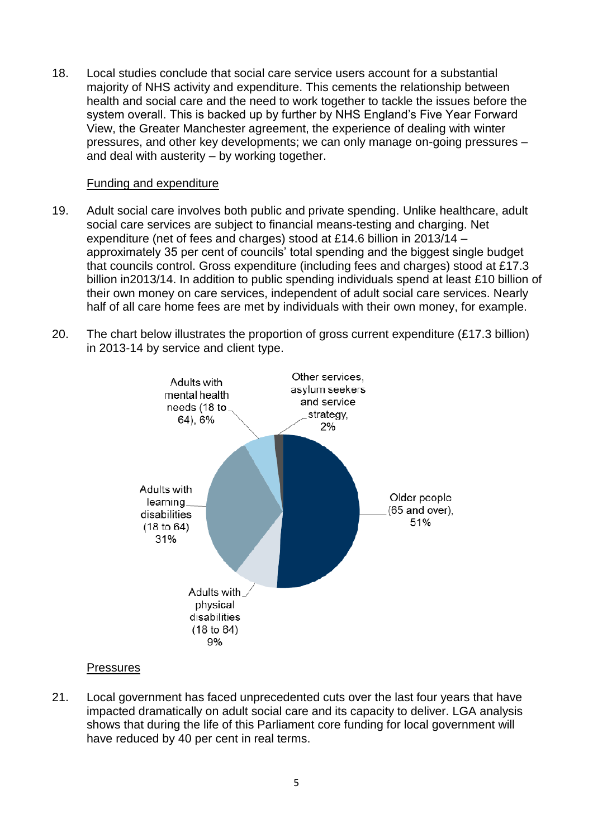18. Local studies conclude that social care service users account for a substantial majority of NHS activity and expenditure. This cements the relationship between health and social care and the need to work together to tackle the issues before the system overall. This is backed up by further by NHS England's Five Year Forward View, the Greater Manchester agreement, the experience of dealing with winter pressures, and other key developments; we can only manage on-going pressures – and deal with austerity – by working together.

### Funding and expenditure

- 19. Adult social care involves both public and private spending. Unlike healthcare, adult social care services are subject to financial means-testing and charging. Net expenditure (net of fees and charges) stood at £14.6 billion in 2013/14 – approximately 35 per cent of councils' total spending and the biggest single budget that councils control. Gross expenditure (including fees and charges) stood at £17.3 billion in2013/14. In addition to public spending individuals spend at least £10 billion of their own money on care services, independent of adult social care services. Nearly half of all care home fees are met by individuals with their own money, for example.
- 20. The chart below illustrates the proportion of gross current expenditure (£17.3 billion) in 2013-14 by service and client type.



# **Pressures**

21. Local government has faced unprecedented cuts over the last four years that have impacted dramatically on adult social care and its capacity to deliver. LGA analysis shows that during the life of this Parliament core funding for local government will have reduced by 40 per cent in real terms.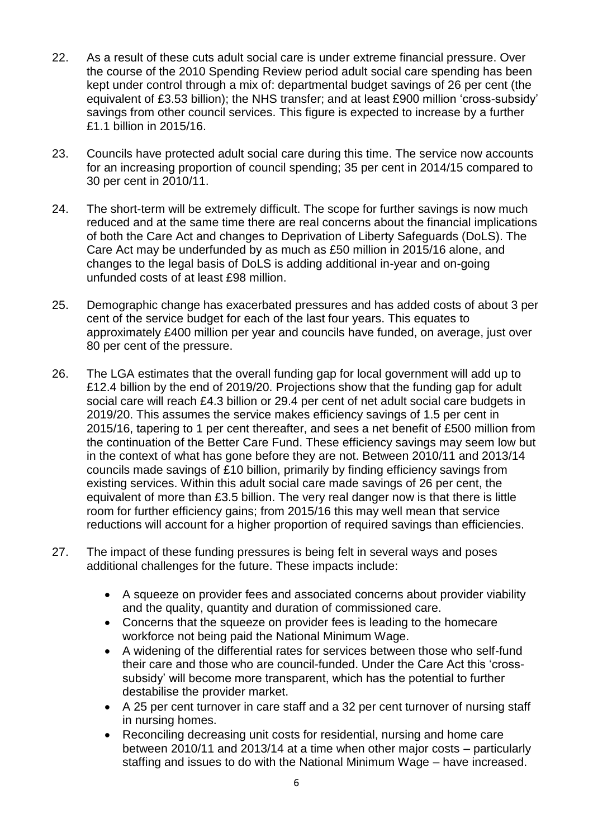- 22. As a result of these cuts adult social care is under extreme financial pressure. Over the course of the 2010 Spending Review period adult social care spending has been kept under control through a mix of: departmental budget savings of 26 per cent (the equivalent of £3.53 billion); the NHS transfer; and at least £900 million 'cross-subsidy' savings from other council services. This figure is expected to increase by a further £1.1 billion in 2015/16.
- 23. Councils have protected adult social care during this time. The service now accounts for an increasing proportion of council spending; 35 per cent in 2014/15 compared to 30 per cent in 2010/11.
- 24. The short-term will be extremely difficult. The scope for further savings is now much reduced and at the same time there are real concerns about the financial implications of both the Care Act and changes to Deprivation of Liberty Safeguards (DoLS). The Care Act may be underfunded by as much as £50 million in 2015/16 alone, and changes to the legal basis of DoLS is adding additional in-year and on-going unfunded costs of at least £98 million.
- 25. Demographic change has exacerbated pressures and has added costs of about 3 per cent of the service budget for each of the last four years. This equates to approximately £400 million per year and councils have funded, on average, just over 80 per cent of the pressure.
- 26. The LGA estimates that the overall funding gap for local government will add up to £12.4 billion by the end of 2019/20. Projections show that the funding gap for adult social care will reach £4.3 billion or 29.4 per cent of net adult social care budgets in 2019/20. This assumes the service makes efficiency savings of 1.5 per cent in 2015/16, tapering to 1 per cent thereafter, and sees a net benefit of £500 million from the continuation of the Better Care Fund. These efficiency savings may seem low but in the context of what has gone before they are not. Between 2010/11 and 2013/14 councils made savings of £10 billion, primarily by finding efficiency savings from existing services. Within this adult social care made savings of 26 per cent, the equivalent of more than £3.5 billion. The very real danger now is that there is little room for further efficiency gains; from 2015/16 this may well mean that service reductions will account for a higher proportion of required savings than efficiencies.
- 27. The impact of these funding pressures is being felt in several ways and poses additional challenges for the future. These impacts include:
	- A squeeze on provider fees and associated concerns about provider viability and the quality, quantity and duration of commissioned care.
	- Concerns that the squeeze on provider fees is leading to the homecare workforce not being paid the National Minimum Wage.
	- A widening of the differential rates for services between those who self-fund their care and those who are council-funded. Under the Care Act this 'crosssubsidy' will become more transparent, which has the potential to further destabilise the provider market.
	- A 25 per cent turnover in care staff and a 32 per cent turnover of nursing staff in nursing homes.
	- Reconciling decreasing unit costs for residential, nursing and home care between 2010/11 and 2013/14 at a time when other major costs – particularly staffing and issues to do with the National Minimum Wage – have increased.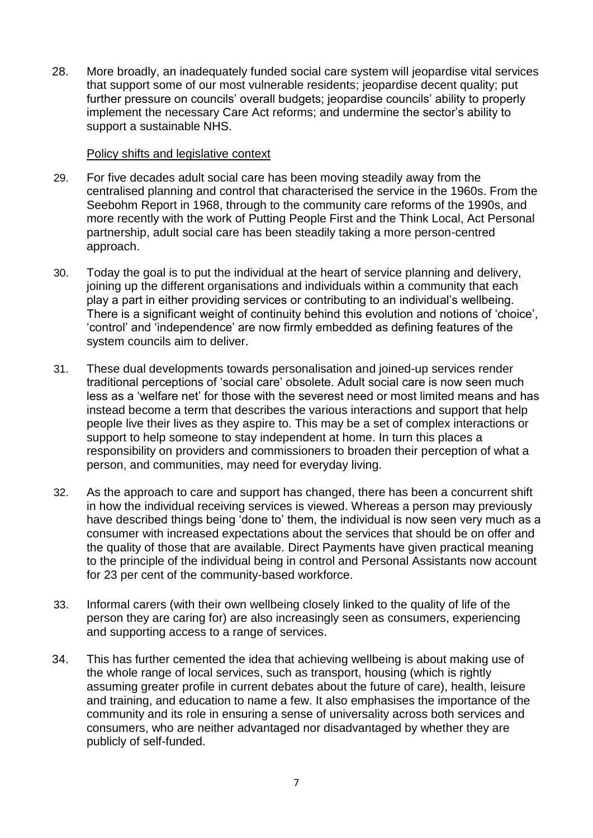28. More broadly, an inadequately funded social care system will jeopardise vital services that support some of our most vulnerable residents; jeopardise decent quality; put further pressure on councils' overall budgets; jeopardise councils' ability to properly implement the necessary Care Act reforms; and undermine the sector's ability to support a sustainable NHS.

#### Policy shifts and legislative context

- 29. For five decades adult social care has been moving steadily away from the centralised planning and control that characterised the service in the 1960s. From the Seebohm Report in 1968, through to the community care reforms of the 1990s, and more recently with the work of Putting People First and the Think Local, Act Personal partnership, adult social care has been steadily taking a more person-centred approach.
- 30. Today the goal is to put the individual at the heart of service planning and delivery, joining up the different organisations and individuals within a community that each play a part in either providing services or contributing to an individual's wellbeing. There is a significant weight of continuity behind this evolution and notions of 'choice', 'control' and 'independence' are now firmly embedded as defining features of the system councils aim to deliver.
- 31. These dual developments towards personalisation and joined-up services render traditional perceptions of 'social care' obsolete. Adult social care is now seen much less as a 'welfare net' for those with the severest need or most limited means and has instead become a term that describes the various interactions and support that help people live their lives as they aspire to. This may be a set of complex interactions or support to help someone to stay independent at home. In turn this places a responsibility on providers and commissioners to broaden their perception of what a person, and communities, may need for everyday living.
- 32. As the approach to care and support has changed, there has been a concurrent shift in how the individual receiving services is viewed. Whereas a person may previously have described things being 'done to' them, the individual is now seen very much as a consumer with increased expectations about the services that should be on offer and the quality of those that are available. Direct Payments have given practical meaning to the principle of the individual being in control and Personal Assistants now account for 23 per cent of the community-based workforce.
- 33. Informal carers (with their own wellbeing closely linked to the quality of life of the person they are caring for) are also increasingly seen as consumers, experiencing and supporting access to a range of services.
- 34. This has further cemented the idea that achieving wellbeing is about making use of the whole range of local services, such as transport, housing (which is rightly assuming greater profile in current debates about the future of care), health, leisure and training, and education to name a few. It also emphasises the importance of the community and its role in ensuring a sense of universality across both services and consumers, who are neither advantaged nor disadvantaged by whether they are publicly of self-funded.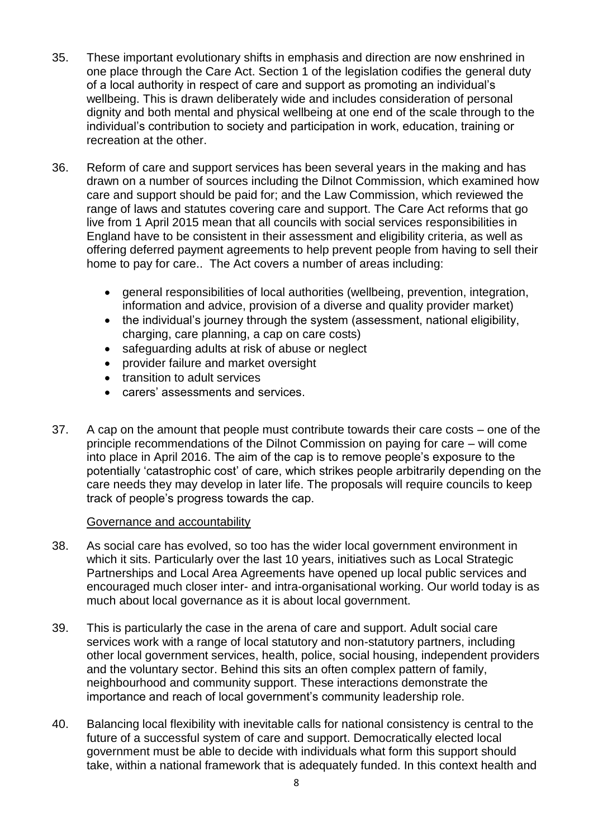- 35. These important evolutionary shifts in emphasis and direction are now enshrined in one place through the Care Act. Section 1 of the legislation codifies the general duty of a local authority in respect of care and support as promoting an individual's wellbeing. This is drawn deliberately wide and includes consideration of personal dignity and both mental and physical wellbeing at one end of the scale through to the individual's contribution to society and participation in work, education, training or recreation at the other.
- 36. Reform of care and support services has been several years in the making and has drawn on a number of sources including the Dilnot Commission, which examined how care and support should be paid for; and the Law Commission, which reviewed the range of laws and statutes covering care and support. The Care Act reforms that go live from 1 April 2015 mean that all councils with social services responsibilities in England have to be consistent in their assessment and eligibility criteria, as well as offering deferred payment agreements to help prevent people from having to sell their home to pay for care.. The Act covers a number of areas including:
	- general responsibilities of local authorities (wellbeing, prevention, integration, information and advice, provision of a diverse and quality provider market)
	- the individual's journey through the system (assessment, national eligibility, charging, care planning, a cap on care costs)
	- safeguarding adults at risk of abuse or neglect
	- provider failure and market oversight
	- transition to adult services
	- carers' assessments and services.
- 37. A cap on the amount that people must contribute towards their care costs one of the principle recommendations of the Dilnot Commission on paying for care – will come into place in April 2016. The aim of the cap is to remove people's exposure to the potentially 'catastrophic cost' of care, which strikes people arbitrarily depending on the care needs they may develop in later life. The proposals will require councils to keep track of people's progress towards the cap.

#### Governance and accountability

- 38. As social care has evolved, so too has the wider local government environment in which it sits. Particularly over the last 10 years, initiatives such as Local Strategic Partnerships and Local Area Agreements have opened up local public services and encouraged much closer inter- and intra-organisational working. Our world today is as much about local governance as it is about local government.
- 39. This is particularly the case in the arena of care and support. Adult social care services work with a range of local statutory and non-statutory partners, including other local government services, health, police, social housing, independent providers and the voluntary sector. Behind this sits an often complex pattern of family, neighbourhood and community support. These interactions demonstrate the importance and reach of local government's community leadership role.
- 40. Balancing local flexibility with inevitable calls for national consistency is central to the future of a successful system of care and support. Democratically elected local government must be able to decide with individuals what form this support should take, within a national framework that is adequately funded. In this context health and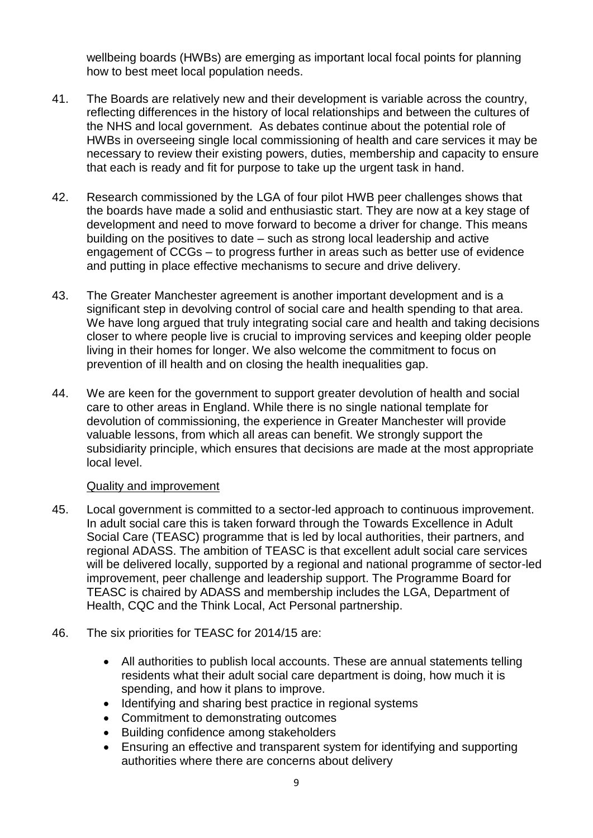wellbeing boards (HWBs) are emerging as important local focal points for planning how to best meet local population needs.

- 41. The Boards are relatively new and their development is variable across the country, reflecting differences in the history of local relationships and between the cultures of the NHS and local government. As debates continue about the potential role of HWBs in overseeing single local commissioning of health and care services it may be necessary to review their existing powers, duties, membership and capacity to ensure that each is ready and fit for purpose to take up the urgent task in hand.
- 42. Research commissioned by the LGA of four pilot HWB peer challenges shows that the boards have made a solid and enthusiastic start. They are now at a key stage of development and need to move forward to become a driver for change. This means building on the positives to date – such as strong local leadership and active engagement of CCGs – to progress further in areas such as better use of evidence and putting in place effective mechanisms to secure and drive delivery.
- 43. The Greater Manchester agreement is another important development and is a significant step in devolving control of social care and health spending to that area. We have long argued that truly integrating social care and health and taking decisions closer to where people live is crucial to improving services and keeping older people living in their homes for longer. We also welcome the commitment to focus on prevention of ill health and on closing the health inequalities gap.
- 44. We are keen for the government to support greater devolution of health and social care to other areas in England. While there is no single national template for devolution of commissioning, the experience in Greater Manchester will provide valuable lessons, from which all areas can benefit. We strongly support the subsidiarity principle, which ensures that decisions are made at the most appropriate local level.

#### Quality and improvement

- 45. Local government is committed to a sector-led approach to continuous improvement. In adult social care this is taken forward through the Towards Excellence in Adult Social Care (TEASC) programme that is led by local authorities, their partners, and regional ADASS. The ambition of TEASC is that excellent adult social care services will be delivered locally, supported by a regional and national programme of sector-led improvement, peer challenge and leadership support. The Programme Board for TEASC is chaired by ADASS and membership includes the LGA, Department of Health, CQC and the Think Local, Act Personal partnership.
- 46. The six priorities for TEASC for 2014/15 are:
	- All authorities to publish local accounts. These are annual statements telling residents what their adult social care department is doing, how much it is spending, and how it plans to improve.
	- Identifying and sharing best practice in regional systems
	- Commitment to demonstrating outcomes
	- Building confidence among stakeholders
	- Ensuring an effective and transparent system for identifying and supporting authorities where there are concerns about delivery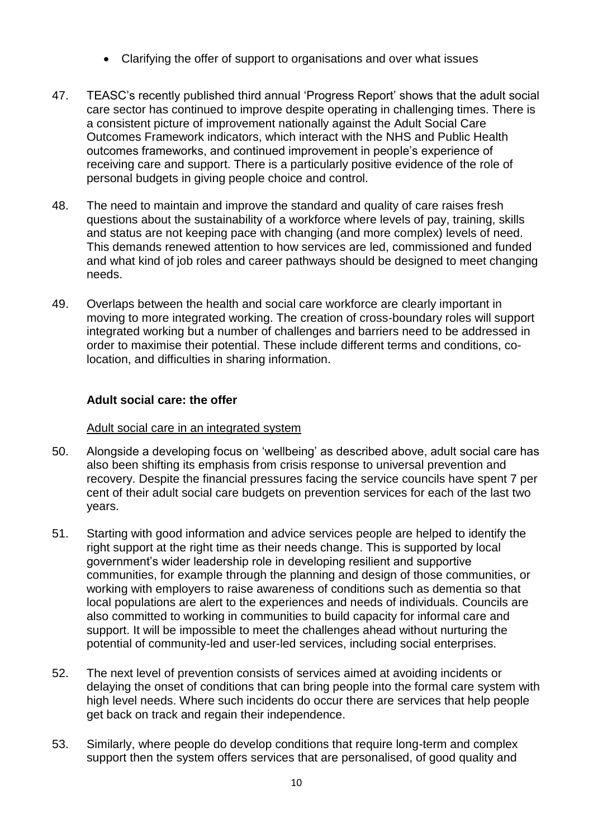- Clarifying the offer of support to organisations and over what issues
- 47. TEASC's recently published third annual 'Progress Report' shows that the adult social care sector has continued to improve despite operating in challenging times. There is a consistent picture of improvement nationally against the Adult Social Care Outcomes Framework indicators, which interact with the NHS and Public Health outcomes frameworks, and continued improvement in people's experience of receiving care and support. There is a particularly positive evidence of the role of personal budgets in giving people choice and control.
- 48. The need to maintain and improve the standard and quality of care raises fresh questions about the sustainability of a workforce where levels of pay, training, skills and status are not keeping pace with changing (and more complex) levels of need. This demands renewed attention to how services are led, commissioned and funded and what kind of job roles and career pathways should be designed to meet changing needs.
- 49. Overlaps between the health and social care workforce are clearly important in moving to more integrated working. The creation of cross-boundary roles will support integrated working but a number of challenges and barriers need to be addressed in order to maximise their potential. These include different terms and conditions, colocation, and difficulties in sharing information.

## **Adult social care: the offer**

#### Adult social care in an integrated system

- 50. Alongside a developing focus on 'wellbeing' as described above, adult social care has also been shifting its emphasis from crisis response to universal prevention and recovery. Despite the financial pressures facing the service councils have spent 7 per cent of their adult social care budgets on prevention services for each of the last two years.
- 51. Starting with good information and advice services people are helped to identify the right support at the right time as their needs change. This is supported by local government's wider leadership role in developing resilient and supportive communities, for example through the planning and design of those communities, or working with employers to raise awareness of conditions such as dementia so that local populations are alert to the experiences and needs of individuals. Councils are also committed to working in communities to build capacity for informal care and support. It will be impossible to meet the challenges ahead without nurturing the potential of community-led and user-led services, including social enterprises.
- 52. The next level of prevention consists of services aimed at avoiding incidents or delaying the onset of conditions that can bring people into the formal care system with high level needs. Where such incidents do occur there are services that help people get back on track and regain their independence.
- 53. Similarly, where people do develop conditions that require long-term and complex support then the system offers services that are personalised, of good quality and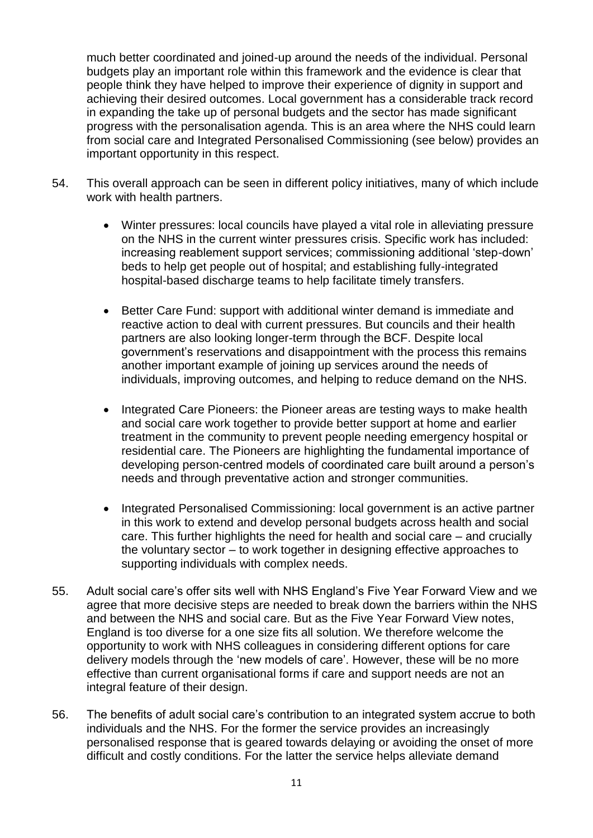much better coordinated and joined-up around the needs of the individual. Personal budgets play an important role within this framework and the evidence is clear that people think they have helped to improve their experience of dignity in support and achieving their desired outcomes. Local government has a considerable track record in expanding the take up of personal budgets and the sector has made significant progress with the personalisation agenda. This is an area where the NHS could learn from social care and Integrated Personalised Commissioning (see below) provides an important opportunity in this respect.

- 54. This overall approach can be seen in different policy initiatives, many of which include work with health partners.
	- Winter pressures: local councils have played a vital role in alleviating pressure on the NHS in the current winter pressures crisis. Specific work has included: increasing reablement support services; commissioning additional 'step-down' beds to help get people out of hospital; and establishing fully-integrated hospital-based discharge teams to help facilitate timely transfers.
	- Better Care Fund: support with additional winter demand is immediate and reactive action to deal with current pressures. But councils and their health partners are also looking longer-term through the BCF. Despite local government's reservations and disappointment with the process this remains another important example of joining up services around the needs of individuals, improving outcomes, and helping to reduce demand on the NHS.
	- Integrated Care Pioneers: the Pioneer areas are testing ways to make health and social care work together to provide better support at home and earlier treatment in the community to prevent people needing emergency hospital or residential care. The Pioneers are highlighting the fundamental importance of developing person-centred models of coordinated care built around a person's needs and through preventative action and stronger communities.
	- Integrated Personalised Commissioning: local government is an active partner in this work to extend and develop personal budgets across health and social care. This further highlights the need for health and social care – and crucially the voluntary sector – to work together in designing effective approaches to supporting individuals with complex needs.
- 55. Adult social care's offer sits well with NHS England's Five Year Forward View and we agree that more decisive steps are needed to break down the barriers within the NHS and between the NHS and social care. But as the Five Year Forward View notes, England is too diverse for a one size fits all solution. We therefore welcome the opportunity to work with NHS colleagues in considering different options for care delivery models through the 'new models of care'. However, these will be no more effective than current organisational forms if care and support needs are not an integral feature of their design.
- 56. The benefits of adult social care's contribution to an integrated system accrue to both individuals and the NHS. For the former the service provides an increasingly personalised response that is geared towards delaying or avoiding the onset of more difficult and costly conditions. For the latter the service helps alleviate demand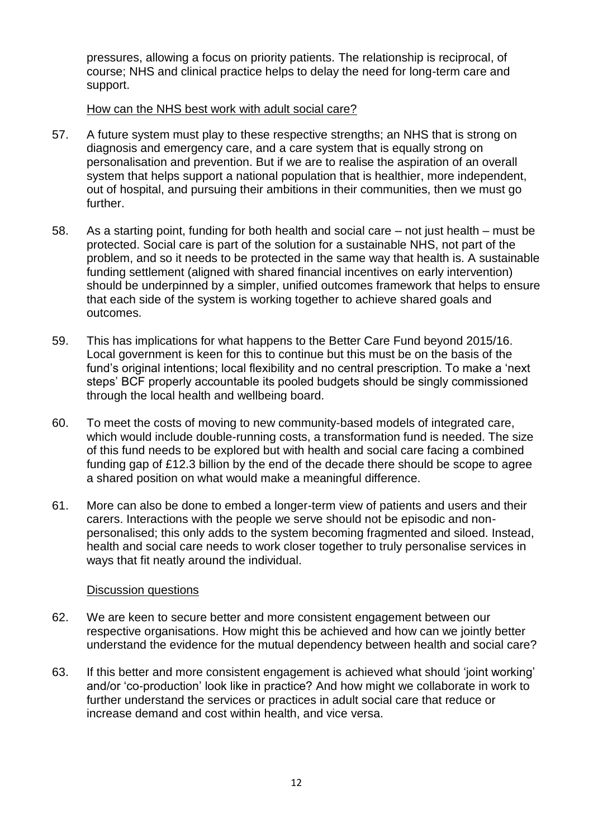pressures, allowing a focus on priority patients. The relationship is reciprocal, of course; NHS and clinical practice helps to delay the need for long-term care and support.

#### How can the NHS best work with adult social care?

- 57. A future system must play to these respective strengths; an NHS that is strong on diagnosis and emergency care, and a care system that is equally strong on personalisation and prevention. But if we are to realise the aspiration of an overall system that helps support a national population that is healthier, more independent, out of hospital, and pursuing their ambitions in their communities, then we must go further.
- 58. As a starting point, funding for both health and social care not just health must be protected. Social care is part of the solution for a sustainable NHS, not part of the problem, and so it needs to be protected in the same way that health is. A sustainable funding settlement (aligned with shared financial incentives on early intervention) should be underpinned by a simpler, unified outcomes framework that helps to ensure that each side of the system is working together to achieve shared goals and outcomes.
- 59. This has implications for what happens to the Better Care Fund beyond 2015/16. Local government is keen for this to continue but this must be on the basis of the fund's original intentions; local flexibility and no central prescription. To make a 'next steps' BCF properly accountable its pooled budgets should be singly commissioned through the local health and wellbeing board.
- 60. To meet the costs of moving to new community-based models of integrated care, which would include double-running costs, a transformation fund is needed. The size of this fund needs to be explored but with health and social care facing a combined funding gap of £12.3 billion by the end of the decade there should be scope to agree a shared position on what would make a meaningful difference.
- 61. More can also be done to embed a longer-term view of patients and users and their carers. Interactions with the people we serve should not be episodic and nonpersonalised; this only adds to the system becoming fragmented and siloed. Instead, health and social care needs to work closer together to truly personalise services in ways that fit neatly around the individual.

#### Discussion questions

- 62. We are keen to secure better and more consistent engagement between our respective organisations. How might this be achieved and how can we jointly better understand the evidence for the mutual dependency between health and social care?
- 63. If this better and more consistent engagement is achieved what should 'joint working' and/or 'co-production' look like in practice? And how might we collaborate in work to further understand the services or practices in adult social care that reduce or increase demand and cost within health, and vice versa.